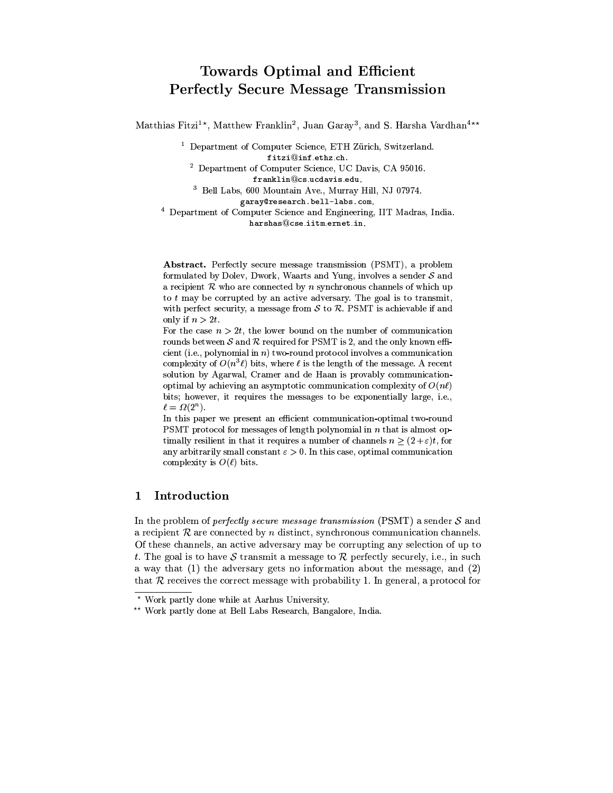# **Towards Optimal and Efficient Perfectly Secure Message Transmission**

Matthias Fitzi<sup>1\*</sup>, Matthew Franklin<sup>2</sup>, Juan Garay<sup>3</sup>, and S. Harsha Vardhan<sup>4\*\*</sup>

<sup>1</sup> Department of Computer Science, ETH Zürich, Switzerland. fitzi@inf.ethz.ch.

<sup>2</sup> Department of Computer Science, UC Davis, CA 95016. franklin@cs.ucdavis.edu.

<sup>3</sup> Bell Labs, 600 Mountain Ave., Murray Hill, NJ 07974.

garay@research.bell-labs.com.

<sup>4</sup> Department of Computer Science and Engineering, IIT Madras, India. harshas@cse.iitm.ernet.in.

Abstract. Perfectly secure message transmission (PSMT), a problem formulated by Dolev, Dwork, Waarts and Yung, involves a sender  $S$  and a recipient  $R$  who are connected by  $n$  synchronous channels of which up to  $t$  may be corrupted by an active adversary. The goal is to transmit, with perfect security, a message from  $S$  to  $R$ . PSMT is achievable if and only if  $n > 2t$ .

For the case  $n > 2t$ , the lower bound on the number of communication rounds between  $S$  and  $R$  required for PSMT is 2, and the only known efficient (i.e., polynomial in  $n$ ) two-round protocol involves a communication complexity of  $O(n^3 \ell)$  bits, where  $\ell$  is the length of the message. A recent solution by Agarwal, Cramer and de Haan is provably communicationoptimal by achieving an asymptotic communication complexity of  $O(n\ell)$ bits; however, it requires the messages to be exponentially large, i.e.,  $\ell = \Omega(2^n)$ .

In this paper we present an efficient communication-optimal two-round PSMT protocol for messages of length polynomial in  $n$  that is almost optimally resilient in that it requires a number of channels  $n \geq (2 + \varepsilon)t$ , for any arbitrarily small constant  $\varepsilon > 0$ . In this case, optimal communication complexity is  $O(\ell)$  bits.

#### Introduction  $\mathbf 1$

In the problem of *perfectly secure message transmission* (PSMT) a sender  $S$  and a recipient  $R$  are connected by  $n$  distinct, synchronous communication channels. Of these channels, an active adversary may be corrupting any selection of up to t. The goal is to have S transmit a message to R perfectly securely, i.e., in such a way that  $(1)$  the adversary gets no information about the message, and  $(2)$ that  $R$  receives the correct message with probability 1. In general, a protocol for

<sup>\*</sup> Work partly done while at Aarhus University.

<sup>\*\*</sup> Work partly done at Bell Labs Research, Bangalore, India.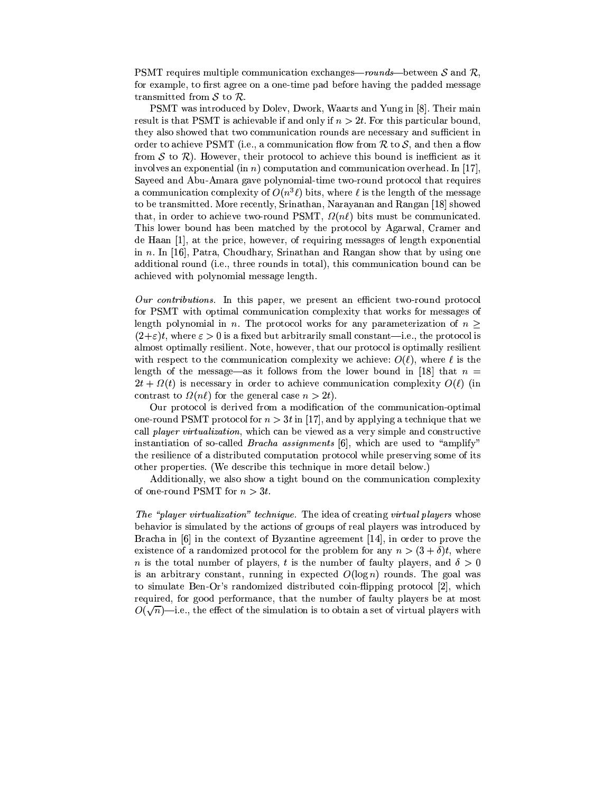PSMT requires multiple communication exchanges—rounds—between S and R, for example, to first agree on a one-time pad before having the padded message transmitted from  $S$  to  $R$ .

PSMT was introduced by Dolev, Dwork, Waarts and Yung in [8]. Their main result is that PSMT is achievable if and only if  $n > 2t$ . For this particular bound, they also showed that two communication rounds are necessary and sufficient in order to achieve PSMT (i.e., a communication flow from R to S, and then a flow from S to R). However, their protocol to achieve this bound is inefficient as it involves an exponential (in n) computation and communication overhead. In [17], Sayeed and Abu-Amara gave polynomial-time two-round protocol that requires a communication complexity of  $O(n^3\ell)$  bits, where  $\ell$  is the length of the message to be transmitted. More recently, Srinathan, Narayanan and Rangan [18] showed that, in order to achieve two-round PSMT,  $\Omega(n\ell)$  bits must be communicated. This lower bound has been matched by the protocol by Agarwal, Cramer and de Haan [1], at the price, however, of requiring messages of length exponential in  $n$ . In [16], Patra, Choudhary, Srinathan and Rangan show that by using one additional round (i.e., three rounds in total), this communication bound can be achieved with polynomial message length.

Our contributions. In this paper, we present an efficient two-round protocol for PSMT with optimal communication complexity that works for messages of length polynomial in n. The protocol works for any parameterization of  $n \geq$  $(2+\varepsilon)t$ , where  $\varepsilon > 0$  is a fixed but arbitrarily small constant—i.e., the protocol is almost optimally resilient. Note, however, that our protocol is optimally resilient with respect to the communication complexity we achieve:  $O(\ell)$ , where  $\ell$  is the length of the message—as it follows from the lower bound in [18] that  $n =$  $2t + \Omega(t)$  is necessary in order to achieve communication complexity  $O(\ell)$  (in contrast to  $\Omega(n\ell)$  for the general case  $n > 2t$ .

Our protocol is derived from a modification of the communication-optimal one-round PSMT protocol for  $n > 3t$  in [17], and by applying a technique that we call *player virtualization*, which can be viewed as a very simple and constructive instantiation of so-called *Bracha assignments* [6], which are used to "amplify" the resilience of a distributed computation protocol while preserving some of its other properties. (We describe this technique in more detail below.)

Additionally, we also show a tight bound on the communication complexity of one-round PSMT for  $n > 3t$ .

*The "player virtualization" technique.* The idea of creating virtual players whose behavior is simulated by the actions of groups of real players was introduced by Bracha in  $[6]$  in the context of Byzantine agreement  $[14]$ , in order to prove the existence of a randomized protocol for the problem for any  $n > (3 + \delta)t$ , where *n* is the total number of players, *t* is the number of faulty players, and  $\delta > 0$ is an arbitrary constant, running in expected  $O(\log n)$  rounds. The goal was to simulate Ben-Or's randomized distributed coin-flipping protocol [2], which required, for good performance, that the number of faulty players be at most  $O(\sqrt{n})$ —i.e., the effect of the simulation is to obtain a set of virtual players with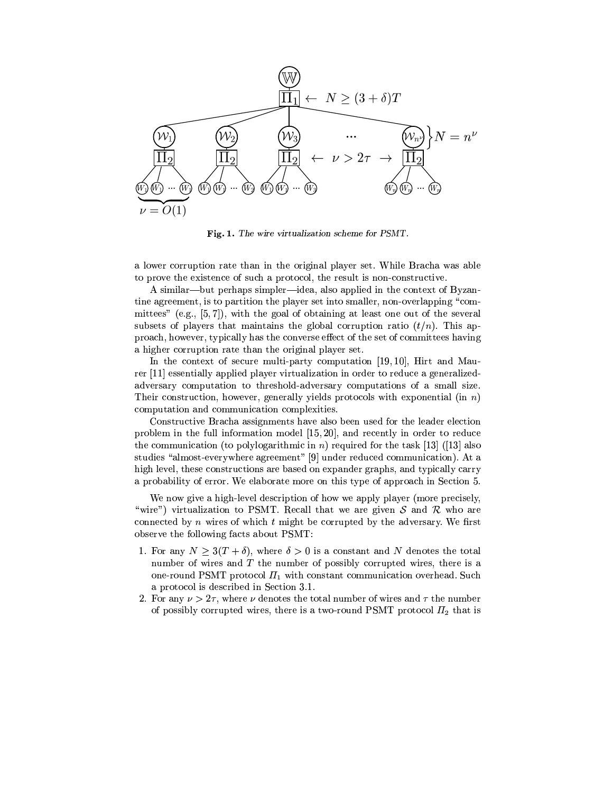

Fig. 1. The wire virtualization scheme for PSMT.

a lower corruption rate than in the original player set. While Bracha was able to prove the existence of such a protocol, the result is non-constructive.

A similar—but perhaps simpler—idea, also applied in the context of Byzantine agreement, is to partition the player set into smaller, non-overlapping "committees" (e.g.,  $[5, 7]$ ), with the goal of obtaining at least one out of the several subsets of players that maintains the global corruption ratio  $(t/n)$ . This approach, however, typically has the converse effect of the set of committees having a higher corruption rate than the original player set.

In the context of secure multi-party computation [19, 10], Hirt and Maurer [11] essentially applied player virtualization in order to reduce a generalizedadversary computation to threshold-adversary computations of a small size. Their construction, however, generally yields protocols with exponential (in  $n$ ) computation and communication complexities.

Constructive Bracha assignments have also been used for the leader election problem in the full information model  $[15, 20]$ , and recently in order to reduce the communication (to polylogarithmic in n) required for the task [13] ([13] also studies "almost-everywhere agreement" [9] under reduced communication). At a high level, these constructions are based on expander graphs, and typically carry a probability of error. We elaborate more on this type of approach in Section 5.

We now give a high-level description of how we apply player (more precisely, "wire") virtualization to PSMT. Recall that we are given S and R who are connected by  $n$  wires of which  $t$  might be corrupted by the adversary. We first observe the following facts about PSMT:

- 1. For any  $N \geq 3(T + \delta)$ , where  $\delta > 0$  is a constant and N denotes the total number of wires and  $T$  the number of possibly corrupted wires, there is a one-round PSMT protocol  $\Pi_1$  with constant communication overhead. Such a protocol is described in Section 3.1.
- 2. For any  $\nu > 2\tau$ , where  $\nu$  denotes the total number of wires and  $\tau$  the number of possibly corrupted wires, there is a two-round PSMT protocol  $\Pi_2$  that is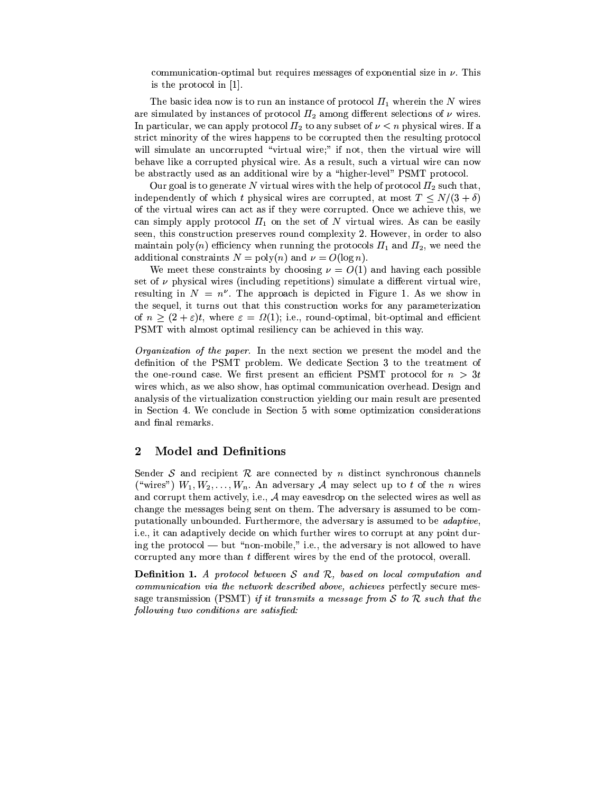communication-optimal but requires messages of exponential size in  $\nu$ . This is the protocol in  $[1]$ .

The basic idea now is to run an instance of protocol  $\Pi_1$  wherein the N wires are simulated by instances of protocol  $\Pi_2$  among different selections of  $\nu$  wires. In particular, we can apply protocol  $\Pi_2$  to any subset of  $\nu < n$  physical wires. If a strict minority of the wires happens to be corrupted then the resulting protocol will simulate an uncorrupted "virtual wire;" if not, then the virtual wire will behave like a corrupted physical wire. As a result, such a virtual wire can now be abstractly used as an additional wire by a "higher-level" PSMT protocol.

Our goal is to generate N virtual wires with the help of protocol  $\Pi_2$  such that, independently of which t physical wires are corrupted, at most  $T \le N/(3 + \delta)$ of the virtual wires can act as if they were corrupted. Once we achieve this, we can simply apply protocol  $\Pi_1$  on the set of N virtual wires. As can be easily seen, this construction preserves round complexity 2. However, in order to also maintain poly(n) efficiency when running the protocols  $\Pi_1$  and  $\Pi_2$ , we need the additional constraints  $N = \text{poly}(n)$  and  $\nu = O(\log n)$ .

We meet these constraints by choosing  $\nu = O(1)$  and having each possible set of  $\nu$  physical wires (including repetitions) simulate a different virtual wire, resulting in  $N = n^{\nu}$ . The approach is depicted in Figure 1. As we show in the sequel, it turns out that this construction works for any parameterization of  $n \geq (2 + \varepsilon)t$ , where  $\varepsilon = \Omega(1)$ ; i.e., round-optimal, bit-optimal and efficient PSMT with almost optimal resiliency can be achieved in this way.

*Organization of the paper.* In the next section we present the model and the definition of the PSMT problem. We dedicate Section 3 to the treatment of the one-round case. We first present an efficient PSMT protocol for  $n > 3t$ wires which, as we also show, has optimal communication overhead. Design and analysis of the virtualization construction yielding our main result are presented in Section 4. We conclude in Section 5 with some optimization considerations and final remarks.

#### $\boldsymbol{2}$ **Model and Definitions**

Sender S and recipient R are connected by n distinct synchronous channels ("wires")  $W_1, W_2, \ldots, W_n$ . An adversary A may select up to t of the n wires and corrupt them actively, i.e.,  $A$  may eavesdrop on the selected wires as well as change the messages being sent on them. The adversary is assumed to be computationally unbounded. Furthermore, the adversary is assumed to be *adaptive*, i.e., it can adaptively decide on which further wires to corrupt at any point during the protocol — but "non-mobile," i.e., the adversary is not allowed to have corrupted any more than  $t$  different wires by the end of the protocol, overall.

**Definition 1.** A protocol between  $S$  and  $R$ , based on local computation and communication via the network described above, achieves perfectly secure message transmission (PSMT) if it transmits a message from S to R such that the following two conditions are satisfied: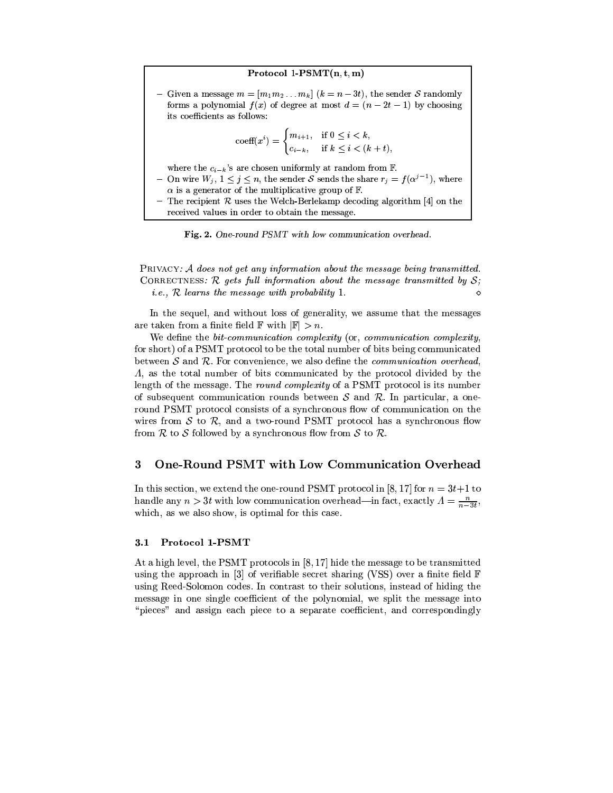## Protocol 1-PSMT $(n, t, m)$

Given a message  $m = [m_1 m_2 ... m_k]$   $(k = n - 3t)$ , the sender S randomly forms a polynomial  $f(x)$  of degree at most  $d = (n - 2t - 1)$  by choosing its coefficients as follows:

$$
\text{coeff}(x^i) = \begin{cases} m_{i+1}, & \text{if } 0 \le i < k, \\ c_{i-k}, & \text{if } k \le i < (k+t), \end{cases}
$$

where the  $c_{i-k}$ 's are chosen uniformly at random from F.

- On wire  $W_j$ ,  $1 \leq j \leq n$ , the sender S sends the share  $r_j = f(\alpha^{j-1})$ , where  $\alpha$  is a generator of the multiplicative group of F.
- The recipient R uses the Welch-Berlekamp decoding algorithm [4] on the received values in order to obtain the message.



PRIVACY: A does not get any information about the message being transmitted. CORRECTNESS:  $\mathcal R$  gets full information about the message transmitted by  $\mathcal S$ ; *i.e.*,  $R$  learns the message with probability 1.

In the sequel, and without loss of generality, we assume that the messages are taken from a finite field  $\mathbb F$  with  $|\mathbb F| > n$ .

We define the *bit-communication complexity* (or, *communication complexity*) for short) of a PSMT protocol to be the total number of bits being communicated between  $S$  and  $R$ . For convenience, we also define the *communication overhead*.  $\Lambda$ , as the total number of bits communicated by the protocol divided by the length of the message. The round complexity of a PSMT protocol is its number of subsequent communication rounds between  $S$  and  $R$ . In particular, a oneround PSMT protocol consists of a synchronous flow of communication on the wires from  $S$  to  $R$ , and a two-round PSMT protocol has a synchronous flow from R to S followed by a synchronous flow from S to R.

#### One-Round PSMT with Low Communication Overhead 3

In this section, we extend the one-round PSMT protocol in [8, 17] for  $n = 3t+1$  to handle any  $n > 3t$  with low communication overhead—in fact, exactly  $A = \frac{n}{n-3t}$ . which, as we also show, is optimal for this case.

#### Protocol 1-PSMT  $3.1$

At a high level, the PSMT protocols in [8,17] hide the message to be transmitted using the approach in [3] of verifiable secret sharing (VSS) over a finite field  $\mathbb F$ using Reed-Solomon codes. In contrast to their solutions, instead of hiding the message in one single coefficient of the polynomial, we split the message into "pieces" and assign each piece to a separate coefficient, and correspondingly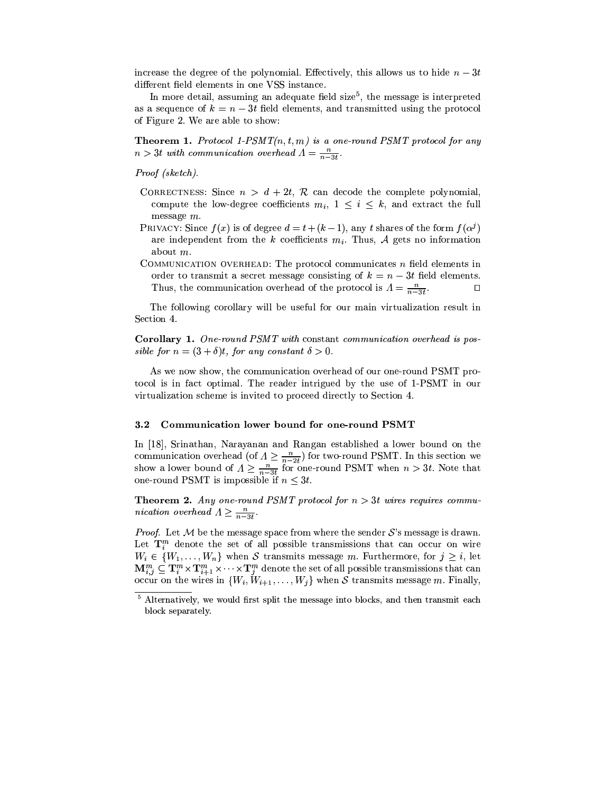increase the degree of the polynomial. Effectively, this allows us to hide  $n-3t$ different field elements in one VSS instance.

In more detail, assuming an adequate field size<sup>5</sup>, the message is interpreted as a sequence of  $k = n - 3t$  field elements, and transmitted using the protocol of Figure 2. We are able to show:

**Theorem 1.** Protocol 1-PSMT $(n, t, m)$  is a one-round PSMT protocol for any  $n > 3t$  with communication overhead  $\Lambda = \frac{n}{n-3t}$ 

Proof (sketch).

- CORRECTNESS: Since  $n > d + 2t$ , R can decode the complete polynomial. compute the low-degree coefficients  $m_i$ ,  $1 \leq i \leq k$ , and extract the full message  $m$ .
- PRIVACY: Since  $f(x)$  is of degree  $d = t + (k-1)$ , any t shares of the form  $f(\alpha^j)$ are independent from the k coefficients  $m_i$ . Thus, A gets no information about  $m$ .
- COMMUNICATION OVERHEAD: The protocol communicates  $n$  field elements in order to transmit a secret message consisting of  $k = n - 3t$  field elements. Thus, the communication overhead of the protocol is  $A = \frac{n}{n-3t}$  $\Box$

The following corollary will be useful for our main virtualization result in Section 4.

Corollary 1. One-round PSMT with constant communication overhead is possible for  $n = (3 + \delta)t$ , for any constant  $\delta > 0$ .

As we now show, the communication overhead of our one-round PSMT protocol is in fact optimal. The reader intrigued by the use of 1-PSMT in our virtualization scheme is invited to proceed directly to Section 4.

#### $3.2$ Communication lower bound for one-round PSMT

In [18], Srinathan, Narayanan and Rangan established a lower bound on the communication overhead (of  $A \geq \frac{n}{n-2t}$ ) for two-round PSMT. In this section we show a lower bound of  $\Lambda \geq \frac{n}{n-3t}$  for one-round PSMT when  $n > 3t$ . Note that one-round PSMT is impossible if  $n \leq 3t$ .

**Theorem 2.** Any one-round PSMT protocol for  $n > 3t$  wires requires communication overhead  $\Lambda \geq \frac{n}{n-3t}$ .

*Proof.* Let M be the message space from where the sender  $S$ 's message is drawn. Let  $\mathbf{T}_{i}^{m}$  denote the set of all possible transmissions that can occur on wire  $W_i \in \{W_1, \ldots, W_n\}$  when S transmits message m. Furthermore, for  $j \geq i$ , let  $\mathbf{M}_{i,j}^m \subseteq \mathbf{T}_i^m \times \mathbf{T}_{i+1}^m \times \cdots \times \mathbf{T}_j^m$  denote the set of all possible transmissions that can occur on the wires in  $\{W_i, W_{i+1}, \ldots, W_j\}$  when S transmits message m. Finally,

<sup>&</sup>lt;sup>5</sup> Alternatively, we would first split the message into blocks, and then transmit each block separately.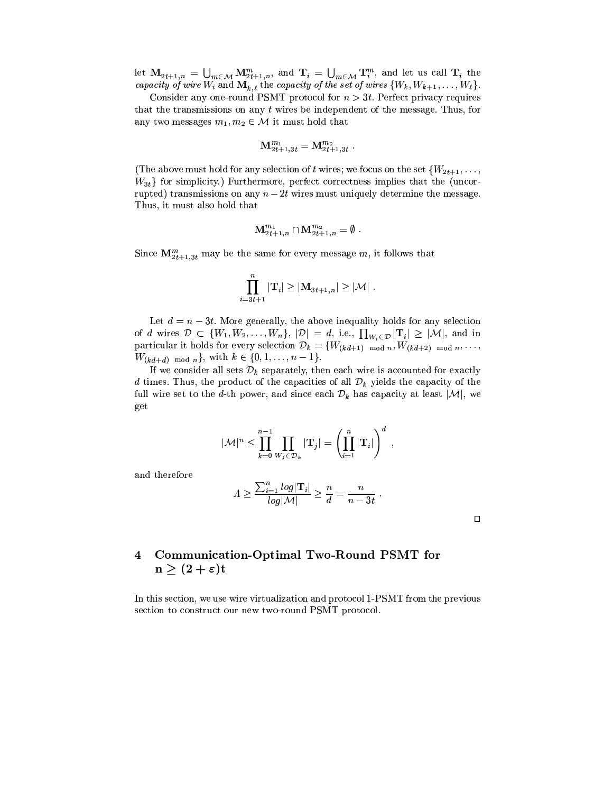let  $\mathbf{M}_{2t+1,n} = \bigcup_{m \in \mathcal{M}} \mathbf{M}_{2t+1,n}^m$ , and  $\mathbf{T}_i = \bigcup_{m \in \mathcal{M}} \mathbf{T}_i^m$ , and let us call  $\mathbf{T}_i$  the capacity of wire  $W_i$  and  $\mathbf{M}_{k,\ell}$  the capacity of the set of wires  $\{W_k, W_{k+1}, \ldots, W_{\ell}\}$ .

Consider any one-round PSMT protocol for  $n > 3t$ . Perfect privacy requires that the transmissions on any  $t$  wires be independent of the message. Thus, for any two messages  $m_1, m_2 \in \mathcal{M}$  it must hold that

$$
\mathbf{M}^{m_1}_{2t+1,3t}=\mathbf{M}^{m_2}_{2t+1,3t}\,\,.
$$

(The above must hold for any selection of t wires; we focus on the set  $\{W_{2t+1}, \ldots,$  $W_{3t}$ } for simplicity.) Furthermore, perfect correctness implies that the (uncorrupted) transmissions on any  $n-2t$  wires must uniquely determine the message. Thus, it must also hold that

$$
\mathbf{M}_{2t+1,n}^{m_1} \cap \mathbf{M}_{2t+1,n}^{m_2} = \emptyset.
$$

Since  $\mathbf{M}_{2t+1,3t}^m$  may be the same for every message m, it follows that

$$
\prod_{i=3t+1}^n |\mathbf{T}_i| \geq |\mathbf{M}_{3t+1,n}| \geq |\mathcal{M}| \; .
$$

Let  $d = n - 3t$ . More generally, the above inequality holds for any selection of d wires  $\mathcal{D} \subset \{W_1, W_2, \ldots, W_n\}, |\mathcal{D}| = d$ , i.e.,  $\prod_{W_i \in \mathcal{D}} |\mathbf{T}_i| \geq |\mathcal{M}|$ , and in particular it holds for every selection  $\mathcal{D}_k = \{W_{(kd+1) \mod n}, W_{(kd+2) \mod n}, \ldots\}$  $W_{(kd+d) \mod n}$ , with  $k \in \{0, 1, ..., n-1\}$ .

If we consider all sets  $\mathcal{D}_k$  separately, then each wire is accounted for exactly d times. Thus, the product of the capacities of all  $\mathcal{D}_k$  yields the capacity of the full wire set to the d-th power, and since each  $\mathcal{D}_k$  has capacity at least  $|\mathcal{M}|$ , we get

$$
|\mathcal{M}|^n \leq \prod_{k=0}^{n-1} \prod_{W_j \in \mathcal{D}_k} |\mathbf{T}_j| = \left(\prod_{i=1}^n |\mathbf{T}_i|\right)^d,
$$

and therefore

$$
A \ge \frac{\sum_{i=1}^{n} log|\mathbf{T}_{i}|}{log|\mathcal{M}|} \ge \frac{n}{d} = \frac{n}{n - 3t}
$$

 $\Box$ 

### 4 Communication-Optimal Two-Round PSMT for  $n \geq (2 + \varepsilon)t$

In this section, we use wire virtualization and protocol 1-PSMT from the previous section to construct our new two-round PSMT protocol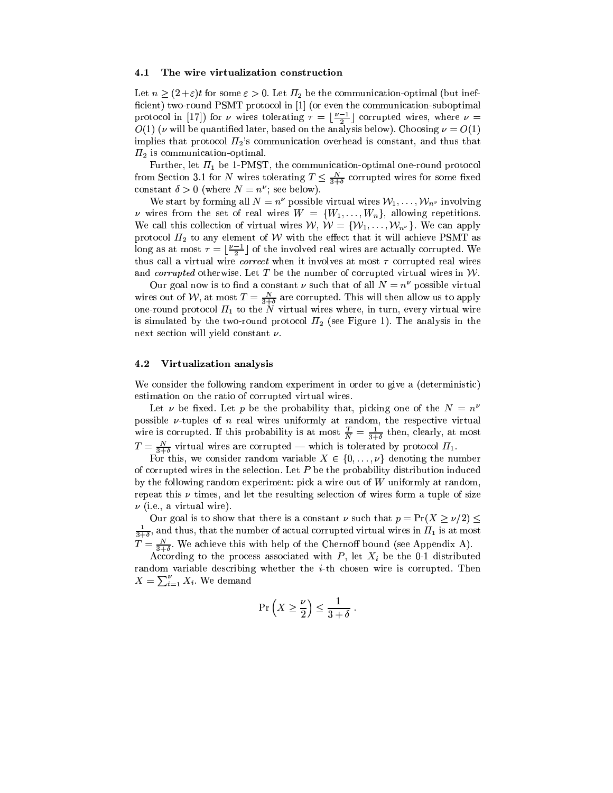#### 4.1 The wire virtualization construction

Let  $n \ge (2+\varepsilon)t$  for some  $\varepsilon > 0$ . Let  $\Pi_2$  be the communication-optimal (but inefficient) two-round PSMT protocol in [1] (or even the communication-suboptimal protocol in [17]) for  $\nu$  wires tolerating  $\tau = \left|\frac{\nu-1}{2}\right|$  corrupted wires, where  $\nu =$  $O(1)$  ( $\nu$  will be quantified later, based on the analysis below). Choosing  $\nu = O(1)$ implies that protocol  $\Pi_2$ 's communication overhead is constant, and thus that  $\Pi_2$  is communication-optimal.

Further, let  $\Pi_1$  be 1-PMST, the communication-optimal one-round protocol from Section 3.1 for N wires tolerating  $T \n\t\leq \frac{N}{3+\delta}$  corrupted wires for some fixed constant  $\delta > 0$  (where  $N = n^{\nu}$ ; see below).

We start by forming all  $N = n^{\nu}$  possible virtual wires  $W_1, \ldots, W_{n^{\nu}}$  involving v wires from the set of real wires  $W = \{W_1, \ldots, W_n\}$ , allowing repetitions. We call this collection of virtual wires  $W, W = \{W_1, \ldots, W_{n^{\nu}}\}.$  We can apply protocol  $\Pi_2$  to any element of W with the effect that it will achieve PSMT as long as at most  $\tau = \lfloor \frac{\nu-1}{2} \rfloor$  of the involved real wires are actually corrupted. We thus call a virtual wire *correct* when it involves at most  $\tau$  corrupted real wires and *corrupted* otherwise. Let T be the number of corrupted virtual wires in  $W$ .

Our goal now is to find a constant  $\nu$  such that of all  $N = n^{\nu}$  possible virtual wires out of W, at most  $T = \frac{N}{3+\delta}$  are corrupted. This will then allow us to apply one-round protocol  $\Pi_1$  to the N virtual wires where, in turn, every virtual wire is simulated by the two-round protocol  $\Pi_2$  (see Figure 1). The analysis in the next section will yield constant  $\nu$ .

#### 4.2 Virtualization analysis

We consider the following random experiment in order to give a (deterministic) estimation on the ratio of corrupted virtual wires.

Let  $\nu$  be fixed. Let p be the probability that, picking one of the  $N = n^{\nu}$ possible  $\nu$ -tuples of *n* real wires uniformly at random, the respective virtual wire is corrupted. If this probability is at most  $\frac{T}{N} = \frac{1}{3+\delta}$  then, clearly, at most  $T = \frac{N}{3+\delta}$  virtual wires are corrupted — which is tolerated by protocol  $\Pi_1$ .

For this, we consider random variable  $X \in \{0, \ldots, \nu\}$  denoting the number of corrupted wires in the selection. Let  $P$  be the probability distribution induced by the following random experiment: pick a wire out of  $W$  uniformly at random. repeat this  $\nu$  times, and let the resulting selection of wires form a tuple of size  $\nu$  (i.e., a virtual wire).

Our goal is to show that there is a constant  $\nu$  such that  $p = Pr(X \ge \nu/2) \le$  $\bigcup_{3+\delta}$ , and thus, that the number of actual corrupted virtual wires in  $\Pi_1$  is at most  $T = \frac{N}{3+\delta}$ . We achieve this with help of the Chernoff bound (see Appendix A).

According to the process associated with  $P$ , let  $X_i$  be the 0-1 distributed random variable describing whether the  $i$ -th chosen wire is corrupted. Then  $X = \sum_{i=1}^{k} X_i$ . We demand

$$
\Pr\left(X \ge \frac{\nu}{2}\right) \le \frac{1}{3+\delta} \; .
$$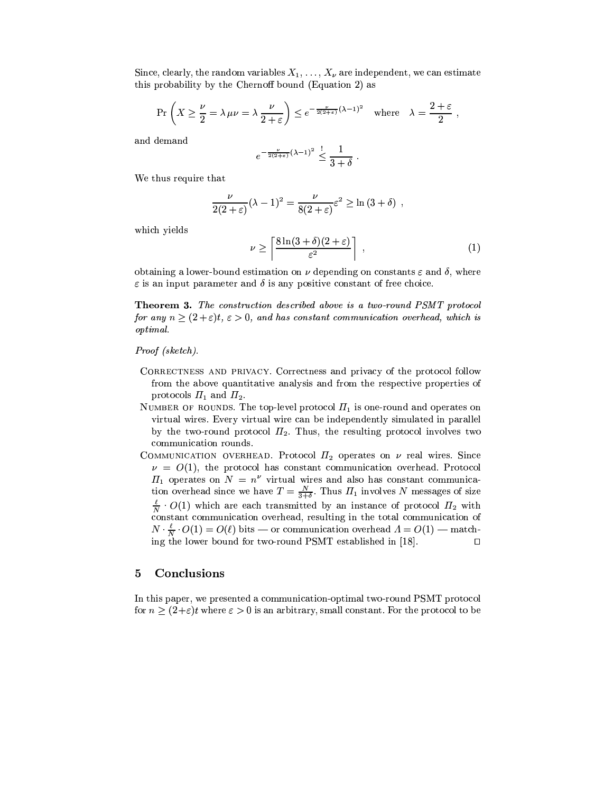Since, clearly, the random variables  $X_1, \ldots, X_{\nu}$  are independent, we can estimate this probability by the Chernoff bound (Equation 2) as

$$
\Pr\left(X \ge \frac{\nu}{2} = \lambda \,\mu\nu = \lambda \,\frac{\nu}{2+\varepsilon}\right) \le e^{-\frac{\nu}{2(2+\varepsilon)}(\lambda-1)^2} \quad \text{where} \quad \lambda = \frac{2+\varepsilon}{2} \,,
$$

and demand

$$
e^{-\frac{\nu}{2(2+\varepsilon)}(\lambda-1)^2}\leq \frac{1}{3+\delta}
$$

We thus require that

$$
\frac{\nu}{2(2+\varepsilon)}(\lambda-1)^2 = \frac{\nu}{8(2+\varepsilon)}\varepsilon^2 \ge \ln(3+\delta) ,
$$

which yields

$$
\nu \ge \left\lceil \frac{8\ln(3+\delta)(2+\varepsilon)}{\varepsilon^2} \right\rceil , \tag{1}
$$

obtaining a lower-bound estimation on  $\nu$  depending on constants  $\varepsilon$  and  $\delta$ , where  $\varepsilon$  is an input parameter and  $\delta$  is any positive constant of free choice.

**Theorem 3.** The construction described above is a two-round PSMT protocol for any  $n \geq (2 + \varepsilon)t$ ,  $\varepsilon > 0$ , and has constant communication overhead, which is *optimal.* 

### Proof (sketch).

- CORRECTNESS AND PRIVACY. Correctness and privacy of the protocol follow from the above quantitative analysis and from the respective properties of protocols  $\Pi_1$  and  $\Pi_2$ .
- NUMBER OF ROUNDS. The top-level protocol  $\Pi_1$  is one-round and operates on virtual wires. Every virtual wire can be independently simulated in parallel by the two-round protocol  $\Pi_2$ . Thus, the resulting protocol involves two communication rounds.
- COMMUNICATION OVERHEAD. Protocol  $\Pi_2$  operates on  $\nu$  real wires. Since  $\nu = O(1)$ , the protocol has constant communication overhead. Protocol  $\Pi_1$  operates on  $N = n^{\nu}$  virtual wires and also has constant communication overhead since we have  $T = \frac{N}{3+\delta}$ . Thus  $\Pi_1$  involves N messages of size  $\frac{\ell}{N} \cdot O(1)$  which are each transmitted by an instance of protocol  $\Pi_2$  with constant communication overhead, resulting in the total communication of  $N \cdot \frac{\ell}{N} \cdot O(1) = O(\ell)$  bits — or communication overhead  $\Lambda = O(1)$  — matching the lower bound for two-round PSMT established in [18]. О

#### Conclusions  $\overline{5}$

In this paper, we presented a communication-optimal two-round PSMT protocol for  $n \geq (2+\varepsilon)t$  where  $\varepsilon > 0$  is an arbitrary, small constant. For the protocol to be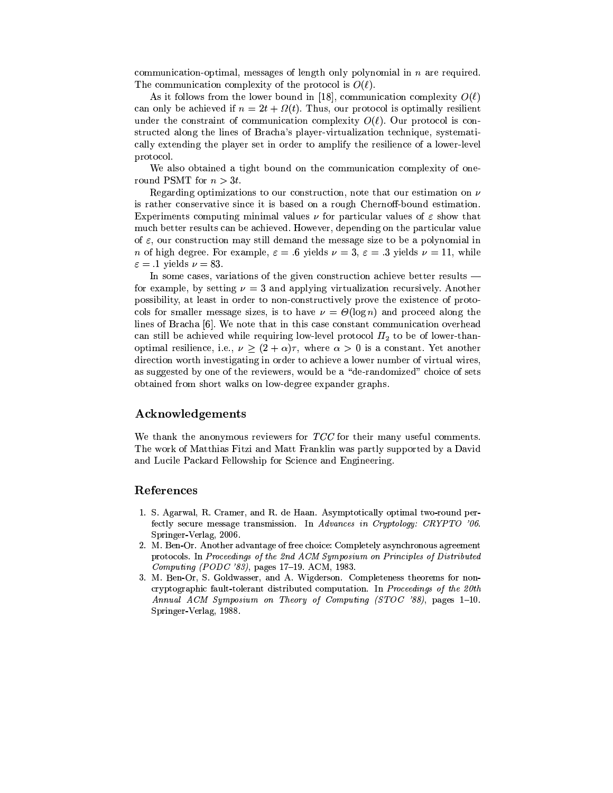communication-optimal, messages of length only polynomial in  $n$  are required. The communication complexity of the protocol is  $O(\ell)$ .

As it follows from the lower bound in [18], communication complexity  $O(\ell)$ can only be achieved if  $n = 2t + \Omega(t)$ . Thus, our protocol is optimally resilient under the constraint of communication complexity  $O(\ell)$ . Our protocol is constructed along the lines of Bracha's player-virtualization technique, systematically extending the player set in order to amplify the resilience of a lower-level protocol.

We also obtained a tight bound on the communication complexity of oneround PSMT for  $n > 3t$ .

Regarding optimizations to our construction, note that our estimation on  $\nu$ is rather conservative since it is based on a rough Chernoff-bound estimation. Experiments computing minimal values  $\nu$  for particular values of  $\varepsilon$  show that much better results can be achieved. However, depending on the particular value of  $\varepsilon$ , our construction may still demand the message size to be a polynomial in *n* of high degree. For example,  $\varepsilon = .6$  yields  $\nu = 3$ ,  $\varepsilon = .3$  yields  $\nu = 11$ , while  $\varepsilon = .1$  yields  $\nu = 83$ .

In some cases, variations of the given construction achieve better results for example, by setting  $\nu = 3$  and applying virtualization recursively. Another possibility, at least in order to non-constructively prove the existence of protocols for smaller message sizes, is to have  $\nu = \Theta(\log n)$  and proceed along the lines of Bracha [6]. We note that in this case constant communication overhead can still be achieved while requiring low-level protocol  $\Pi_2$  to be of lower-thanoptimal resilience, i.e.,  $\nu \geq (2+\alpha)\tau$ , where  $\alpha > 0$  is a constant. Yet another direction worth investigating in order to achieve a lower number of virtual wires, as suggested by one of the reviewers, would be a "de-randomized" choice of sets obtained from short walks on low-degree expander graphs.

## Acknowledgements

We thank the anonymous reviewers for  $TCC$  for their many useful comments. The work of Matthias Fitzi and Matt Franklin was partly supported by a David and Lucile Packard Fellowship for Science and Engineering.

## References

- 1. S. Agarwal, R. Cramer, and R. de Haan. Asymptotically optimal two-round perfectly secure message transmission. In Advances in Cryptology: CRYPTO '06. Springer-Verlag, 2006.
- 2. M. Ben-Or. Another advantage of free choice: Completely asynchronous agreement protocols. In Proceedings of the 2nd ACM Symposium on Principles of Distributed Computing (PODC '83), pages 17-19. ACM, 1983.
- 3. M. Ben-Or, S. Goldwasser, and A. Wigderson. Completeness theorems for noncryptographic fault-tolerant distributed computation. In Proceedings of the 20th Annual ACM Symposium on Theory of Computing (STOC '88), pages 1-10. Springer-Verlag, 1988.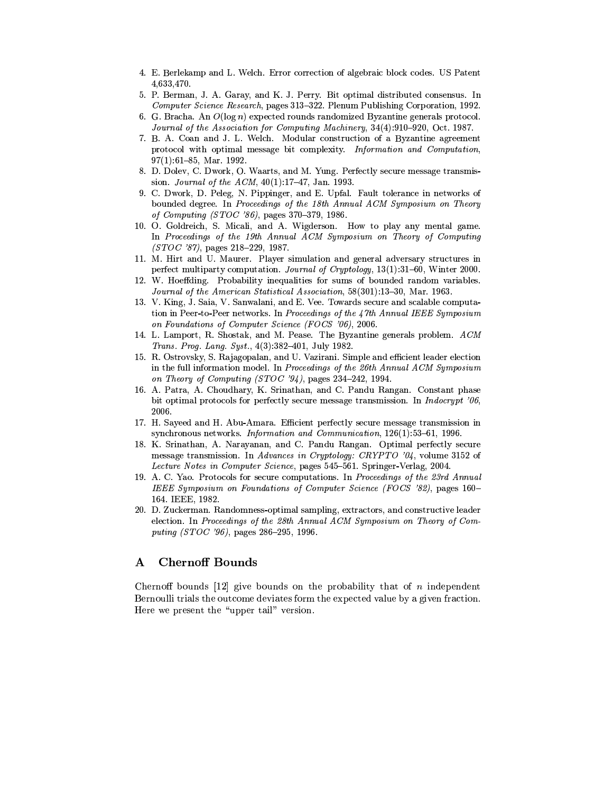- 4. E. Berlekamp and L. Welch. Error correction of algebraic block codes. US Patent 4,633,470.
- 5. P. Berman, J. A. Garay, and K. J. Perry. Bit optimal distributed consensus. In Computer Science Research, pages 313-322. Plenum Publishing Corporation. 1992.
- 6. G. Bracha. An  $O(\log n)$  expected rounds randomized Byzantine generals protocol. Journal of the Association for Computing Machinery, 34(4):910-920, Oct. 1987.
- 7. B. A. Coan and J. L. Welch. Modular construction of a Byzantine agreement protocol with optimal message bit complexity. Information and Computation,  $97(1)$ :61-85, Mar. 1992.
- 8. D. Dolev, C. Dwork, O. Waarts, and M. Yung. Perfectly secure message transmission. *Journal of the ACM*,  $40(1):17-47$ , Jan. 1993.
- 9. C. Dwork, D. Peleg, N. Pippinger, and E. Upfal. Fault tolerance in networks of bounded degree. In Proceedings of the 18th Annual ACM Symposium on Theory of Computing (STOC '86), pages 370-379, 1986.
- 10. O. Goldreich, S. Micali, and A. Wigderson. How to play any mental game. In Proceedings of the 19th Annual ACM Symposium on Theory of Computing  $(STOC 87)$ , pages 218-229, 1987.
- 11. M. Hirt and U. Maurer. Player simulation and general adversary structures in perfect multiparty computation. Journal of Cryptology, 13(1):31-60, Winter 2000.
- 12. W. Hoeffding. Probability inequalities for sums of bounded random variables. Journal of the American Statistical Association, 58(301):13-30, Mar. 1963.
- 13. V. King, J. Saia, V. Sanwalani, and E. Vee. Towards secure and scalable computation in Peer-to-Peer networks. In Proceedings of the 47th Annual IEEE Symposium on Foundations of Computer Science (FOCS '06), 2006.
- 14. L. Lamport, R. Shostak, and M. Pease. The Byzantine generals problem. ACM Trans. Prog. Lang. Syst., 4(3):382-401, July 1982.
- 15. R. Ostrovsky, S. Rajagopalan, and U. Vazirani. Simple and efficient leader election in the full information model. In Proceedings of the 26th Annual ACM Symposium on Theory of Computing (STOC '94), pages 234-242, 1994.
- 16. A. Patra, A. Choudhary, K. Srinathan, and C. Pandu Rangan. Constant phase bit optimal protocols for perfectly secure message transmission. In *Indocrypt '06*, 2006.
- 17. H. Sayeed and H. Abu-Amara. Efficient perfectly secure message transmission in synchronous networks. Information and Communication, 126(1):53-61, 1996.
- 18. K. Srinathan, A. Narayanan, and C. Pandu Rangan. Optimal perfectly secure message transmission. In Advances in Cryptology: CRYPTO '04, volume 3152 of Lecture Notes in Computer Science, pages 545-561. Springer-Verlag, 2004.
- 19. A. C. Yao. Protocols for secure computations. In Proceedings of the 23rd Annual IEEE Symposium on Foundations of Computer Science (FOCS '82), pages 160-164. IEEE. 1982.
- 20. D. Zuckerman. Randomness-optimal sampling, extractors, and constructive leader election. In Proceedings of the 28th Annual ACM Symposium on Theory of Computing (STOC '96), pages 286-295, 1996.

#### $\mathbf A$ **Chernoff Bounds**

Chernoff bounds [12] give bounds on the probability that of n independent Bernoulli trials the outcome deviates form the expected value by a given fraction. Here we present the "upper tail" version.